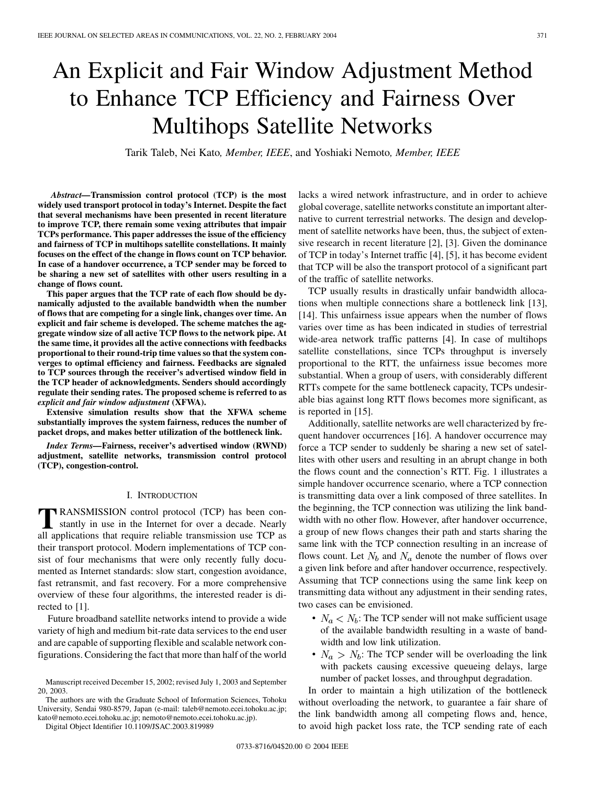# An Explicit and Fair Window Adjustment Method to Enhance TCP Efficiency and Fairness Over Multihops Satellite Networks

Tarik Taleb, Nei Kato*, Member, IEEE*, and Yoshiaki Nemoto*, Member, IEEE*

*Abstract—***Transmission control protocol (TCP) is the most widely used transport protocol in today's Internet. Despite the fact that several mechanisms have been presented in recent literature to improve TCP, there remain some vexing attributes that impair TCPs performance. This paper addresses the issue of the efficiency and fairness of TCP in multihops satellite constellations. It mainly focuses on the effect of the change in flows count on TCP behavior. In case of a handover occurrence, a TCP sender may be forced to be sharing a new set of satellites with other users resulting in a change of flows count.**

**This paper argues that the TCP rate of each flow should be dynamically adjusted to the available bandwidth when the number of flows that are competing for a single link, changes over time. An explicit and fair scheme is developed. The scheme matches the aggregate window size of all active TCP flows to the network pipe. At the same time, it provides all the active connections with feedbacks proportional to their round-trip time values so that the system converges to optimal efficiency and fairness. Feedbacks are signaled to TCP sources through the receiver's advertised window field in the TCP header of acknowledgments. Senders should accordingly regulate their sending rates. The proposed scheme is referred to as** *explicit and fair window adjustment* **(XFWA).**

**Extensive simulation results show that the XFWA scheme substantially improves the system fairness, reduces the number of packet drops, and makes better utilization of the bottleneck link.**

*Index Terms—***Fairness, receiver's advertised window (RWND) adjustment, satellite networks, transmission control protocol (TCP), congestion-control.**

## I. INTRODUCTION

**T**RANSMISSION control protocol (TCP) has been constantly in use in the Internet for over a decade. Nearly sell explications that require reliable transmission use TCP as all applications that require reliable transmission use TCP as their transport protocol. Modern implementations of TCP consist of four mechanisms that were only recently fully documented as Internet standards: slow start, congestion avoidance, fast retransmit, and fast recovery. For a more comprehensive overview of these four algorithms, the interested reader is directed to [[1](#page-15-0)].

Future broadband satellite networks intend to provide a wide variety of high and medium bit-rate data services to the end user and are capable of supporting flexible and scalable network configurations. Considering the fact that more than half of the world

Manuscript received December 15, 2002; revised July 1, 2003 and September 20, 2003.

The authors are with the Graduate School of Information Sciences, Tohoku University, Sendai 980-8579, Japan (e-mail: taleb@nemoto.ecei.tohoku.ac.jp; kato@nemoto.ecei.tohoku.ac.jp; nemoto@nemoto.ecei.tohoku.ac.jp).

Digital Object Identifier 10.1109/JSAC.2003.819989

lacks a wired network infrastructure, and in order to achieve global coverage, satellite networks constitute an important alternative to current terrestrial networks. The design and development of satellite networks have been, thus, the subject of extensive research in recent literature [[2\]](#page-15-0), [[3\]](#page-15-0). Given the dominance of TCP in today's Internet traffic [[4\]](#page-15-0), [\[5](#page-15-0)], it has become evident that TCP will be also the transport protocol of a significant part of the traffic of satellite networks.

TCP usually results in drastically unfair bandwidth allocations when multiple connections share a bottleneck link [\[13](#page-16-0)], [\[14](#page-16-0)]. This unfairness issue appears when the number of flows varies over time as has been indicated in studies of terrestrial wide-area network traffic patterns [[4\]](#page-15-0). In case of multihops satellite constellations, since TCPs throughput is inversely proportional to the RTT, the unfairness issue becomes more substantial. When a group of users, with considerably different RTTs compete for the same bottleneck capacity, TCPs undesirable bias against long RTT flows becomes more significant, as is reported in [[15\]](#page-16-0).

Additionally, satellite networks are well characterized by frequent handover occurrences [[16\]](#page-16-0). A handover occurrence may force a TCP sender to suddenly be sharing a new set of satellites with other users and resulting in an abrupt change in both the flows count and the connection's RTT. Fig. 1 illustrates a simple handover occurrence scenario, where a TCP connection is transmitting data over a link composed of three satellites. In the beginning, the TCP connection was utilizing the link bandwidth with no other flow. However, after handover occurrence, a group of new flows changes their path and starts sharing the same link with the TCP connection resulting in an increase of flows count. Let  $N_b$  and  $N_a$  denote the number of flows over a given link before and after handover occurrence, respectively. Assuming that TCP connections using the same link keep on transmitting data without any adjustment in their sending rates, two cases can be envisioned.

- $N_a < N_b$ : The TCP sender will not make sufficient usage of the available bandwidth resulting in a waste of bandwidth and low link utilization.
- $N_a > N_b$ : The TCP sender will be overloading the link with packets causing excessive queueing delays, large number of packet losses, and throughput degradation.

In order to maintain a high utilization of the bottleneck without overloading the network, to guarantee a fair share of the link bandwidth among all competing flows and, hence, to avoid high packet loss rate, the TCP sending rate of each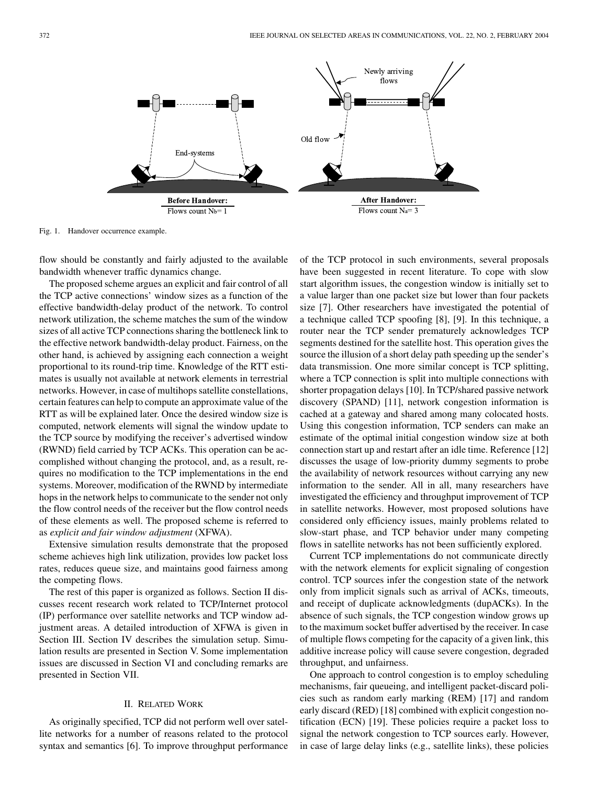

Fig. 1. Handover occurrence example.

flow should be constantly and fairly adjusted to the available bandwidth whenever traffic dynamics change.

The proposed scheme argues an explicit and fair control of all the TCP active connections' window sizes as a function of the effective bandwidth-delay product of the network. To control network utilization, the scheme matches the sum of the window sizes of all active TCP connections sharing the bottleneck link to the effective network bandwidth-delay product. Fairness, on the other hand, is achieved by assigning each connection a weight proportional to its round-trip time. Knowledge of the RTT estimates is usually not available at network elements in terrestrial networks. However, in case of multihops satellite constellations, certain features can help to compute an approximate value of the RTT as will be explained later. Once the desired window size is computed, network elements will signal the window update to the TCP source by modifying the receiver's advertised window (RWND) field carried by TCP ACKs. This operation can be accomplished without changing the protocol, and, as a result, requires no modification to the TCP implementations in the end systems. Moreover, modification of the RWND by intermediate hops in the network helps to communicate to the sender not only the flow control needs of the receiver but the flow control needs of these elements as well. The proposed scheme is referred to as *explicit and fair window adjustment* (XFWA).

Extensive simulation results demonstrate that the proposed scheme achieves high link utilization, provides low packet loss rates, reduces queue size, and maintains good fairness among the competing flows.

The rest of this paper is organized as follows. Section II discusses recent research work related to TCP/Internet protocol (IP) performance over satellite networks and TCP window adjustment areas. A detailed introduction of XFWA is given in Section III. Section IV describes the simulation setup. Simulation results are presented in Section V. Some implementation issues are discussed in Section VI and concluding remarks are presented in Section VII.

# II. RELATED WORK

As originally specified, TCP did not perform well over satellite networks for a number of reasons related to the protocol syntax and semantics [\[6](#page-16-0)]. To improve throughput performance of the TCP protocol in such environments, several proposals have been suggested in recent literature. To cope with slow start algorithm issues, the congestion window is initially set to a value larger than one packet size but lower than four packets size [[7](#page-16-0)]. Other researchers have investigated the potential of a technique called TCP spoofing [\[8](#page-16-0)], [[9\]](#page-16-0). In this technique, a router near the TCP sender prematurely acknowledges TCP segments destined for the satellite host. This operation gives the source the illusion of a short delay path speeding up the sender's data transmission. One more similar concept is TCP splitting, where a TCP connection is split into multiple connections with shorter propagation delays [[10\]](#page-16-0). In TCP/shared passive network discovery (SPAND) [\[11](#page-16-0)], network congestion information is cached at a gateway and shared among many colocated hosts. Using this congestion information, TCP senders can make an estimate of the optimal initial congestion window size at both connection start up and restart after an idle time. Reference [\[12](#page-16-0)] discusses the usage of low-priority dummy segments to probe the availability of network resources without carrying any new information to the sender. All in all, many researchers have investigated the efficiency and throughput improvement of TCP in satellite networks. However, most proposed solutions have considered only efficiency issues, mainly problems related to slow-start phase, and TCP behavior under many competing flows in satellite networks has not been sufficiently explored.

Current TCP implementations do not communicate directly with the network elements for explicit signaling of congestion control. TCP sources infer the congestion state of the network only from implicit signals such as arrival of ACKs, timeouts, and receipt of duplicate acknowledgments (dupACKs). In the absence of such signals, the TCP congestion window grows up to the maximum socket buffer advertised by the receiver. In case of multiple flows competing for the capacity of a given link, this additive increase policy will cause severe congestion, degraded throughput, and unfairness.

One approach to control congestion is to employ scheduling mechanisms, fair queueing, and intelligent packet-discard policies such as random early marking (REM) [[17\]](#page-16-0) and random early discard (RED) [\[18](#page-16-0)] combined with explicit congestion notification (ECN) [[19\]](#page-16-0). These policies require a packet loss to signal the network congestion to TCP sources early. However, in case of large delay links (e.g., satellite links), these policies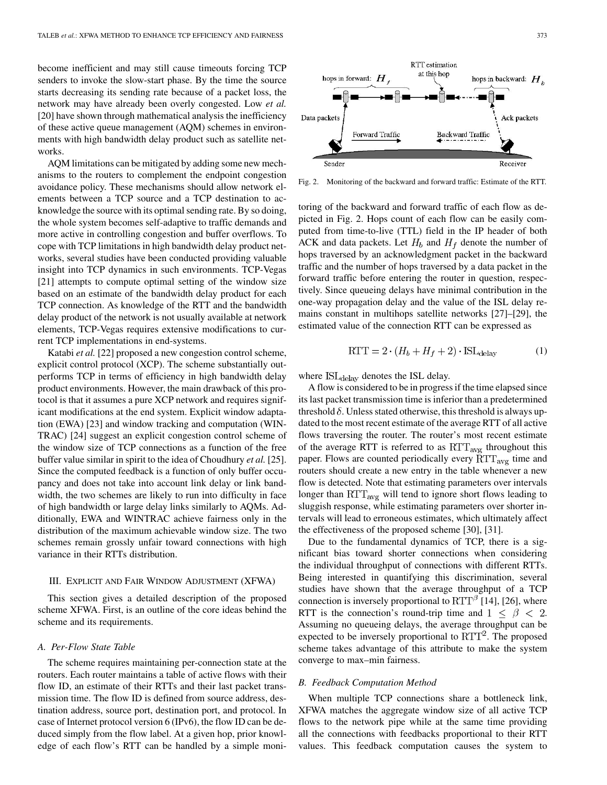become inefficient and may still cause timeouts forcing TCP senders to invoke the slow-start phase. By the time the source starts decreasing its sending rate because of a packet loss, the network may have already been overly congested. Low *et al.* [\[20](#page-16-0)] have shown through mathematical analysis the inefficiency of these active queue management (AQM) schemes in environments with high bandwidth delay product such as satellite networks.

AQM limitations can be mitigated by adding some new mechanisms to the routers to complement the endpoint congestion avoidance policy. These mechanisms should allow network elements between a TCP source and a TCP destination to acknowledge the source with its optimal sending rate. By so doing, the whole system becomes self-adaptive to traffic demands and more active in controlling congestion and buffer overflows. To cope with TCP limitations in high bandwidth delay product networks, several studies have been conducted providing valuable insight into TCP dynamics in such environments. TCP-Vegas [\[21](#page-16-0)] attempts to compute optimal setting of the window size based on an estimate of the bandwidth delay product for each TCP connection. As knowledge of the RTT and the bandwidth delay product of the network is not usually available at network elements, TCP-Vegas requires extensive modifications to current TCP implementations in end-systems.

Katabi *et al.* [[22\]](#page-16-0) proposed a new congestion control scheme, explicit control protocol (XCP). The scheme substantially outperforms TCP in terms of efficiency in high bandwidth delay product environments. However, the main drawback of this protocol is that it assumes a pure XCP network and requires significant modifications at the end system. Explicit window adaptation (EWA) [\[23](#page-16-0)] and window tracking and computation (WIN-TRAC) [\[24](#page-16-0)] suggest an explicit congestion control scheme of the window size of TCP connections as a function of the free buffer value similar in spirit to the idea of Choudhury *et al.* [\[25](#page-16-0)]. Since the computed feedback is a function of only buffer occupancy and does not take into account link delay or link bandwidth, the two schemes are likely to run into difficulty in face of high bandwidth or large delay links similarly to AQMs. Additionally, EWA and WINTRAC achieve fairness only in the distribution of the maximum achievable window size. The two schemes remain grossly unfair toward connections with high variance in their RTTs distribution.

## III. EXPLICIT AND FAIR WINDOW ADJUSTMENT (XFWA)

This section gives a detailed description of the proposed scheme XFWA. First, is an outline of the core ideas behind the scheme and its requirements.

## *A. Per-Flow State Table*

The scheme requires maintaining per-connection state at the routers. Each router maintains a table of active flows with their flow ID, an estimate of their RTTs and their last packet transmission time. The flow ID is defined from source address, destination address, source port, destination port, and protocol. In case of Internet protocol version 6 (IPv6), the flow ID can be deduced simply from the flow label. At a given hop, prior knowledge of each flow's RTT can be handled by a simple moni-



Fig. 2. Monitoring of the backward and forward traffic: Estimate of the RTT.

toring of the backward and forward traffic of each flow as depicted in Fig. 2. Hops count of each flow can be easily computed from time-to-live (TTL) field in the IP header of both ACK and data packets. Let  $H_b$  and  $H_f$  denote the number of hops traversed by an acknowledgment packet in the backward traffic and the number of hops traversed by a data packet in the forward traffic before entering the router in question, respectively. Since queueing delays have minimal contribution in the one-way propagation delay and the value of the ISL delay remains constant in multihops satellite networks [[27\]](#page-16-0)–[\[29](#page-16-0)], the estimated value of the connection RTT can be expressed as

$$
RTT = 2 \cdot (H_b + H_f + 2) \cdot ISL_{delay}
$$
 (1)

where  $ISL_{delay}$  denotes the ISL delay.

A flow is considered to be in progress if the time elapsed since its last packet transmission time is inferior than a predetermined threshold  $\delta$ . Unless stated otherwise, this threshold is always updated to the most recent estimate of the average RTT of all active flows traversing the router. The router's most recent estimate of the average RTT is referred to as  $RTT_{avg}$  throughout this paper. Flows are counted periodically every  $RTT_{avg}$  time and routers should create a new entry in the table whenever a new flow is detected. Note that estimating parameters over intervals longer than  $\text{RTT}_{\text{avg}}$  will tend to ignore short flows leading to sluggish response, while estimating parameters over shorter intervals will lead to erroneous estimates, which ultimately affect the effectiveness of the proposed scheme [\[30](#page-16-0)], [\[31](#page-16-0)].

Due to the fundamental dynamics of TCP, there is a significant bias toward shorter connections when considering the individual throughput of connections with different RTTs. Being interested in quantifying this discrimination, several studies have shown that the average throughput of a TCP connection is inversely proportional to  $\text{RTT}^{\beta}$  [\[14](#page-16-0)], [[26\]](#page-16-0), where RTT is the connection's round-trip time and  $1 \leq \beta < 2$ . Assuming no queueing delays, the average throughput can be expected to be inversely proportional to  $\text{RTT}^2$ . The proposed scheme takes advantage of this attribute to make the system converge to max–min fairness.

## *B. Feedback Computation Method*

When multiple TCP connections share a bottleneck link, XFWA matches the aggregate window size of all active TCP flows to the network pipe while at the same time providing all the connections with feedbacks proportional to their RTT values. This feedback computation causes the system to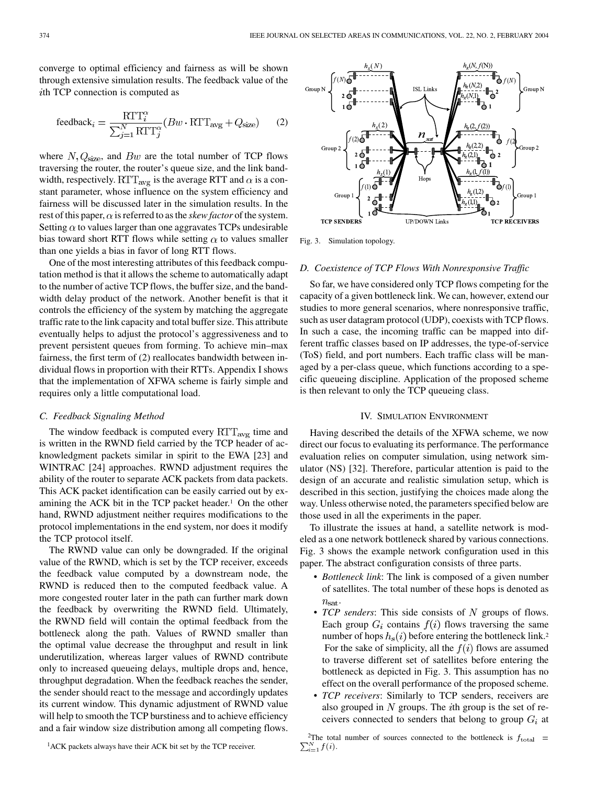converge to optimal efficiency and fairness as will be shown through extensive simulation results. The feedback value of the  $i$ th TCP connection is computed as

$$
\text{feedback}_{i} = \frac{\text{RTT}_{i}^{\alpha}}{\sum_{j=1}^{N} \text{RTT}_{j}^{\alpha}} (Bw \cdot \text{RTT}_{\text{avg}} + Q_{\text{size}})
$$
 (2)

where  $N, Q_{size}$ , and  $Bw$  are the total number of TCP flows traversing the router, the router's queue size, and the link bandwidth, respectively. RTT<sub>avg</sub> is the average RTT and  $\alpha$  is a constant parameter, whose influence on the system efficiency and fairness will be discussed later in the simulation results. In the rest of this paper,  $\alpha$  is referred to as the *skew factor* of the system. Setting  $\alpha$  to values larger than one aggravates TCPs undesirable bias toward short RTT flows while setting  $\alpha$  to values smaller than one yields a bias in favor of long RTT flows.

One of the most interesting attributes of this feedback computation method is that it allows the scheme to automatically adapt to the number of active TCP flows, the buffer size, and the bandwidth delay product of the network. Another benefit is that it controls the efficiency of the system by matching the aggregate traffic rate to the link capacity and total buffer size. This attribute eventually helps to adjust the protocol's aggressiveness and to prevent persistent queues from forming. To achieve min–max fairness, the first term of (2) reallocates bandwidth between individual flows in proportion with their RTTs. Appendix I shows that the implementation of XFWA scheme is fairly simple and requires only a little computational load.

## *C. Feedback Signaling Method*

The window feedback is computed every  $RTT_{avg}$  time and is written in the RWND field carried by the TCP header of acknowledgment packets similar in spirit to the EWA [\[23](#page-16-0)] and WINTRAC [[24\]](#page-16-0) approaches. RWND adjustment requires the ability of the router to separate ACK packets from data packets. This ACK packet identification can be easily carried out by examining the ACK bit in the TCP packet header.<sup>1</sup> On the other hand, RWND adjustment neither requires modifications to the protocol implementations in the end system, nor does it modify the TCP protocol itself.

The RWND value can only be downgraded. If the original value of the RWND, which is set by the TCP receiver, exceeds the feedback value computed by a downstream node, the RWND is reduced then to the computed feedback value. A more congested router later in the path can further mark down the feedback by overwriting the RWND field. Ultimately, the RWND field will contain the optimal feedback from the bottleneck along the path. Values of RWND smaller than the optimal value decrease the throughput and result in link underutilization, whereas larger values of RWND contribute only to increased queueing delays, multiple drops and, hence, throughput degradation. When the feedback reaches the sender, the sender should react to the message and accordingly updates its current window. This dynamic adjustment of RWND value will help to smooth the TCP burstiness and to achieve efficiency and a fair window size distribution among all competing flows.



Fig. 3. Simulation topology.

## *D. Coexistence of TCP Flows With Nonresponsive Traffic*

So far, we have considered only TCP flows competing for the capacity of a given bottleneck link. We can, however, extend our studies to more general scenarios, where nonresponsive traffic, such as user datagram protocol (UDP), coexists with TCP flows. In such a case, the incoming traffic can be mapped into different traffic classes based on IP addresses, the type-of-service (ToS) field, and port numbers. Each traffic class will be managed by a per-class queue, which functions according to a specific queueing discipline. Application of the proposed scheme is then relevant to only the TCP queueing class.

## IV. SIMULATION ENVIRONMENT

Having described the details of the XFWA scheme, we now direct our focus to evaluating its performance. The performance evaluation relies on computer simulation, using network simulator (NS) [\[32](#page-16-0)]. Therefore, particular attention is paid to the design of an accurate and realistic simulation setup, which is described in this section, justifying the choices made along the way. Unless otherwise noted, the parameters specified below are those used in all the experiments in the paper.

To illustrate the issues at hand, a satellite network is modeled as a one network bottleneck shared by various connections. Fig. 3 shows the example network configuration used in this paper. The abstract configuration consists of three parts.

- *Bottleneck link*: The link is composed of a given number of satellites. The total number of these hops is denoted as  $n_{\text{sat}}$ .
- $TCP$  senders: This side consists of  $N$  groups of flows. Each group  $G_i$  contains  $f(i)$  flows traversing the same number of hops  $h_s(i)$  before entering the bottleneck link.<sup>2</sup> For the sake of simplicity, all the  $f(i)$  flows are assumed to traverse different set of satellites before entering the bottleneck as depicted in Fig. 3. This assumption has no effect on the overall performance of the proposed scheme.
- *TCP receivers*: Similarly to TCP senders, receivers are also grouped in  $N$  groups. The *i*th group is the set of receivers connected to senders that belong to group  $G_i$  at

<sup>2</sup>The total number of sources connected to the bottleneck is  $f_{\text{total}}$  =  $\sum_{i=1}^N f(i)$ .

<sup>1</sup>ACK packets always have their ACK bit set by the TCP receiver.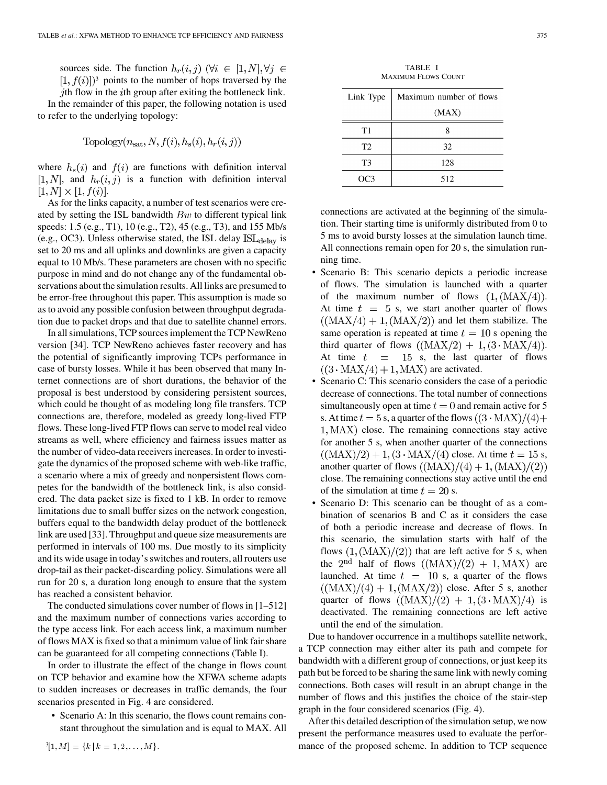sources side. The function  $h_r(i,j)$   $(\forall i \in [1,N], \forall j \in$  $[1, f(i)]$ <sup>3</sup> points to the number of hops traversed by the jth flow in the  $i$ th group after exiting the bottleneck link. In the remainder of this paper, the following notation is used to refer to the underlying topology:

$$
Topology(n_{sat}, N, f(i), h_s(i), h_r(i,j))
$$

where  $h_s(i)$  and  $f(i)$  are functions with definition interval  $[1, N]$ , and  $h_r(i, j)$  is a function with definition interval  $[1, N] \times [1, f(i)].$ 

As for the links capacity, a number of test scenarios were created by setting the ISL bandwidth  $Bw$  to different typical link speeds: 1.5 (e.g., T1), 10 (e.g., T2), 45 (e.g., T3), and 155 Mb/s (e.g., OC3). Unless otherwise stated, the ISL delay is set to 20 ms and all uplinks and downlinks are given a capacity equal to 10 Mb/s. These parameters are chosen with no specific purpose in mind and do not change any of the fundamental observations about the simulation results. All links are presumed to be error-free throughout this paper. This assumption is made so as to avoid any possible confusion between throughput degradation due to packet drops and that due to satellite channel errors.

In all simulations, TCP sources implement the TCP NewReno version [[34\]](#page-16-0). TCP NewReno achieves faster recovery and has the potential of significantly improving TCPs performance in case of bursty losses. While it has been observed that many Internet connections are of short durations, the behavior of the proposal is best understood by considering persistent sources, which could be thought of as modeling long file transfers. TCP connections are, therefore, modeled as greedy long-lived FTP flows. These long-lived FTP flows can serve to model real video streams as well, where efficiency and fairness issues matter as the number of video-data receivers increases. In order to investigate the dynamics of the proposed scheme with web-like traffic, a scenario where a mix of greedy and nonpersistent flows competes for the bandwidth of the bottleneck link, is also considered. The data packet size is fixed to 1 kB. In order to remove limitations due to small buffer sizes on the network congestion, buffers equal to the bandwidth delay product of the bottleneck link are used [[33\]](#page-16-0). Throughput and queue size measurements are performed in intervals of 100 ms. Due mostly to its simplicity and its wide usage in today's switches and routers, all routers use drop-tail as their packet-discarding policy. Simulations were all run for 20 s, a duration long enough to ensure that the system has reached a consistent behavior.

The conducted simulations cover number of flows in [1–512] and the maximum number of connections varies according to the type access link. For each access link, a maximum number of flows MAX is fixed so that a minimum value of link fair share can be guaranteed for all competing connections (Table I).

In order to illustrate the effect of the change in flows count on TCP behavior and examine how the XFWA scheme adapts to sudden increases or decreases in traffic demands, the four scenarios presented in Fig. 4 are considered.

• Scenario A: In this scenario, the flows count remains constant throughout the simulation and is equal to MAX. All

| Link Type      | Maximum number of flows |
|----------------|-------------------------|
|                | (MAX)                   |
| T1             |                         |
| T <sub>2</sub> | 32                      |
| T3             | 128                     |
| OC3            | 512                     |

connections are activated at the beginning of the simulation. Their starting time is uniformly distributed from 0 to 5 ms to avoid bursty losses at the simulation launch time. All connections remain open for 20 s, the simulation running time.

- Scenario B: This scenario depicts a periodic increase of flows. The simulation is launched with a quarter of the maximum number of flows  $(1, (MAX/4))$ . At time  $t = 5$  s, we start another quarter of flows  $((MAX/4) + 1, (MAX/2))$  and let them stabilize. The same operation is repeated at time  $t = 10$  s opening the third quarter of flows  $((MAX/2) + 1, (3 \cdot MAX/4)).$ At time  $t = 15$  s, the last quarter of flows  $((3 \cdot MAX/4) + 1, MAX)$  are activated.
- Scenario C: This scenario considers the case of a periodic decrease of connections. The total number of connections simultaneously open at time  $t = 0$  and remain active for 5 s. At time  $t = 5$  s, a quarter of the flows  $((3 \cdot MAX)/(4) +$  $(1, MAX)$  close. The remaining connections stay active for another 5 s, when another quarter of the connections  $((MAX)/2) + 1$ ,  $(3 \cdot MAX/(4)$  close. At time  $t = 15$  s, another quarter of flows  $((MAX)/(4) + 1, (MAX)/(2))$ close. The remaining connections stay active until the end of the simulation at time  $t = 20$  s.
- Scenario D: This scenario can be thought of as a combination of scenarios B and C as it considers the case of both a periodic increase and decrease of flows. In this scenario, the simulation starts with half of the flows  $(1, (MAX)/(2))$  that are left active for 5 s, when the 2<sup>nd</sup> half of flows  $((MAX)/(2) + 1, MAX)$  are launched. At time  $t = 10$  s, a quarter of the flows  $((MAX)/(4) + 1, (MAX/2))$  close. After 5 s, another quarter of flows  $((MAX)/(2) + 1, (3 \cdot MAX)/4)$  is deactivated. The remaining connections are left active until the end of the simulation.

Due to handover occurrence in a multihops satellite network, a TCP connection may either alter its path and compete for bandwidth with a different group of connections, or just keep its path but be forced to be sharing the same link with newly coming connections. Both cases will result in an abrupt change in the number of flows and this justifies the choice of the stair-step graph in the four considered scenarios (Fig. 4).

After this detailed description of the simulation setup, we now present the performance measures used to evaluate the performance of the proposed scheme. In addition to TCP sequence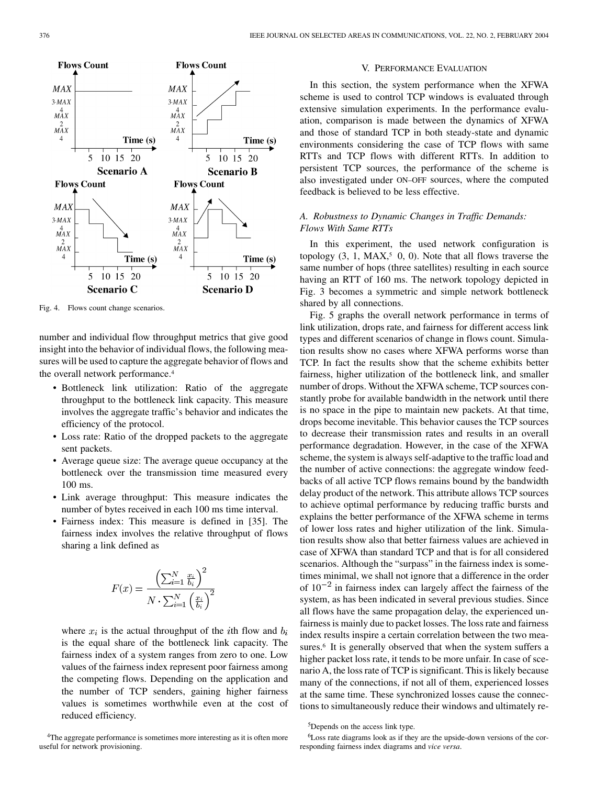

Fig. 4. Flows count change scenarios.

number and individual flow throughput metrics that give good insight into the behavior of individual flows, the following measures will be used to capture the aggregate behavior of flows and the overall network performance.4

- Bottleneck link utilization: Ratio of the aggregate throughput to the bottleneck link capacity. This measure involves the aggregate traffic's behavior and indicates the efficiency of the protocol.
- Loss rate: Ratio of the dropped packets to the aggregate sent packets.
- Average queue size: The average queue occupancy at the bottleneck over the transmission time measured every 100 ms.
- Link average throughput: This measure indicates the number of bytes received in each 100 ms time interval.
- Fairness index: This measure is defined in [\[35](#page-16-0)]. The fairness index involves the relative throughput of flows sharing a link defined as

$$
F(x) = \frac{\left(\sum_{i=1}^{N} \frac{x_i}{b_i}\right)^2}{N \cdot \sum_{i=1}^{N} \left(\frac{x_i}{b_i}\right)^2}
$$

where  $x_i$  is the actual throughput of the *i*th flow and  $b_i$ is the equal share of the bottleneck link capacity. The fairness index of a system ranges from zero to one. Low values of the fairness index represent poor fairness among the competing flows. Depending on the application and the number of TCP senders, gaining higher fairness values is sometimes worthwhile even at the cost of reduced efficiency.

<sup>4</sup>The aggregate performance is sometimes more interesting as it is often more useful for network provisioning.

## V. PERFORMANCE EVALUATION

In this section, the system performance when the XFWA scheme is used to control TCP windows is evaluated through extensive simulation experiments. In the performance evaluation, comparison is made between the dynamics of XFWA and those of standard TCP in both steady-state and dynamic environments considering the case of TCP flows with same RTTs and TCP flows with different RTTs. In addition to persistent TCP sources, the performance of the scheme is also investigated under ON–OFF sources, where the computed feedback is believed to be less effective.

# *A. Robustness to Dynamic Changes in Traffic Demands: Flows With Same RTTs*

In this experiment, the used network configuration is topology  $(3, 1, MAX, 5, 0, 0)$ . Note that all flows traverse the same number of hops (three satellites) resulting in each source having an RTT of 160 ms. The network topology depicted in Fig. 3 becomes a symmetric and simple network bottleneck shared by all connections.

Fig. 5 graphs the overall network performance in terms of link utilization, drops rate, and fairness for different access link types and different scenarios of change in flows count. Simulation results show no cases where XFWA performs worse than TCP. In fact the results show that the scheme exhibits better fairness, higher utilization of the bottleneck link, and smaller number of drops. Without the XFWA scheme, TCP sources constantly probe for available bandwidth in the network until there is no space in the pipe to maintain new packets. At that time, drops become inevitable. This behavior causes the TCP sources to decrease their transmission rates and results in an overall performance degradation. However, in the case of the XFWA scheme, the system is always self-adaptive to the traffic load and the number of active connections: the aggregate window feedbacks of all active TCP flows remains bound by the bandwidth delay product of the network. This attribute allows TCP sources to achieve optimal performance by reducing traffic bursts and explains the better performance of the XFWA scheme in terms of lower loss rates and higher utilization of the link. Simulation results show also that better fairness values are achieved in case of XFWA than standard TCP and that is for all considered scenarios. Although the "surpass" in the fairness index is sometimes minimal, we shall not ignore that a difference in the order of  $10^{-2}$  in fairness index can largely affect the fairness of the system, as has been indicated in several previous studies. Since all flows have the same propagation delay, the experienced unfairness is mainly due to packet losses. The loss rate and fairness index results inspire a certain correlation between the two measures.<sup>6</sup> It is generally observed that when the system suffers a higher packet loss rate, it tends to be more unfair. In case of scenario A, the loss rate of TCP is significant. This is likely because many of the connections, if not all of them, experienced losses at the same time. These synchronized losses cause the connections to simultaneously reduce their windows and ultimately re-

<sup>5</sup>Depends on the access link type.

<sup>6</sup>Loss rate diagrams look as if they are the upside-down versions of the corresponding fairness index diagrams and *vice versa*.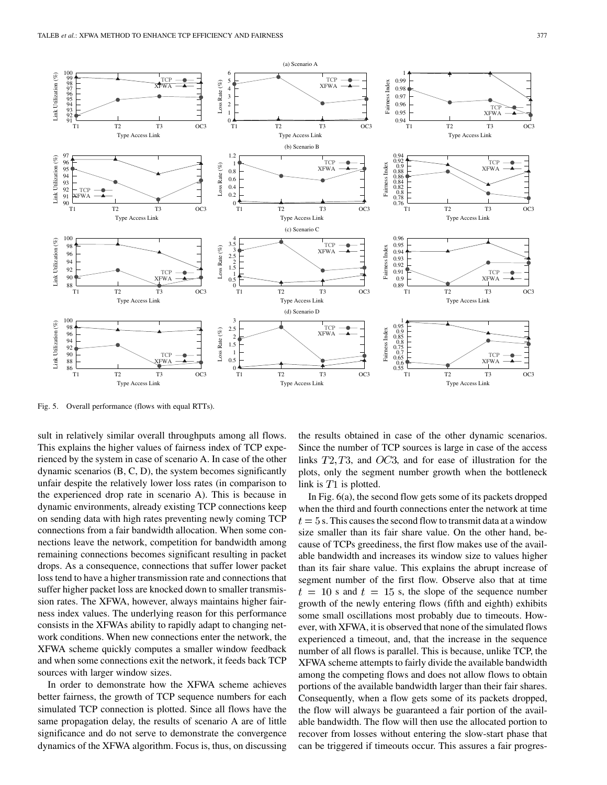

Fig. 5. Overall performance (flows with equal RTTs).

sult in relatively similar overall throughputs among all flows. This explains the higher values of fairness index of TCP experienced by the system in case of scenario A. In case of the other dynamic scenarios (B, C, D), the system becomes significantly unfair despite the relatively lower loss rates (in comparison to the experienced drop rate in scenario A). This is because in dynamic environments, already existing TCP connections keep on sending data with high rates preventing newly coming TCP connections from a fair bandwidth allocation. When some connections leave the network, competition for bandwidth among remaining connections becomes significant resulting in packet drops. As a consequence, connections that suffer lower packet loss tend to have a higher transmission rate and connections that suffer higher packet loss are knocked down to smaller transmission rates. The XFWA, however, always maintains higher fairness index values. The underlying reason for this performance consists in the XFWAs ability to rapidly adapt to changing network conditions. When new connections enter the network, the XFWA scheme quickly computes a smaller window feedback and when some connections exit the network, it feeds back TCP sources with larger window sizes.

In order to demonstrate how the XFWA scheme achieves better fairness, the growth of TCP sequence numbers for each simulated TCP connection is plotted. Since all flows have the same propagation delay, the results of scenario A are of little significance and do not serve to demonstrate the convergence dynamics of the XFWA algorithm. Focus is, thus, on discussing the results obtained in case of the other dynamic scenarios. Since the number of TCP sources is large in case of the access links  $T2, T3$ , and  $OC3$ , and for ease of illustration for the plots, only the segment number growth when the bottleneck link is  $T1$  is plotted.

In Fig. 6(a), the second flow gets some of its packets dropped when the third and fourth connections enter the network at time  $t=5$  s. This causes the second flow to transmit data at a window size smaller than its fair share value. On the other hand, because of TCPs greediness, the first flow makes use of the available bandwidth and increases its window size to values higher than its fair share value. This explains the abrupt increase of segment number of the first flow. Observe also that at time  $t = 10$  s and  $t = 15$  s, the slope of the sequence number growth of the newly entering flows (fifth and eighth) exhibits some small oscillations most probably due to timeouts. However, with XFWA, it is observed that none of the simulated flows experienced a timeout, and, that the increase in the sequence number of all flows is parallel. This is because, unlike TCP, the XFWA scheme attempts to fairly divide the available bandwidth among the competing flows and does not allow flows to obtain portions of the available bandwidth larger than their fair shares. Consequently, when a flow gets some of its packets dropped, the flow will always be guaranteed a fair portion of the available bandwidth. The flow will then use the allocated portion to recover from losses without entering the slow-start phase that can be triggered if timeouts occur. This assures a fair progres-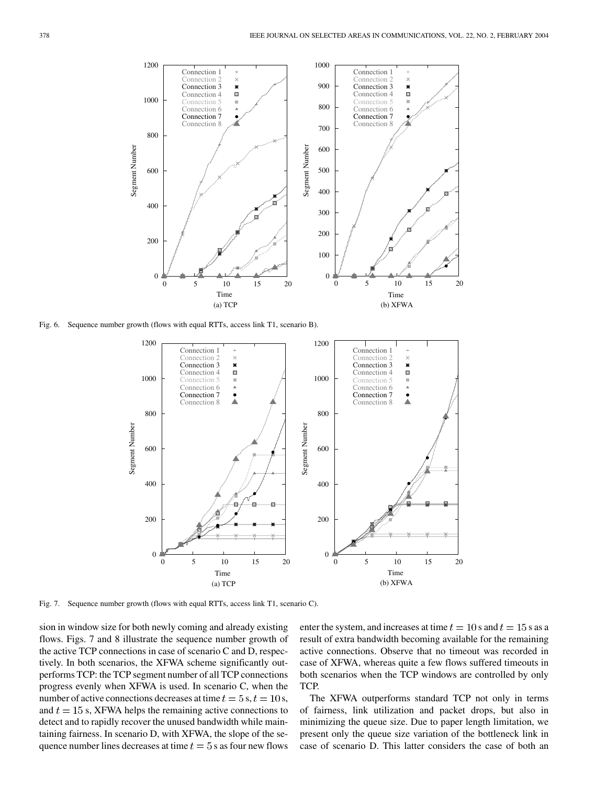

Fig. 6. Sequence number growth (flows with equal RTTs, access link T1, scenario B).



Fig. 7. Sequence number growth (flows with equal RTTs, access link T1, scenario C).

sion in window size for both newly coming and already existing flows. Figs. 7 and 8 illustrate the sequence number growth of the active TCP connections in case of scenario C and D, respectively. In both scenarios, the XFWA scheme significantly outperforms TCP: the TCP segment number of all TCP connections progress evenly when XFWA is used. In scenario C, when the number of active connections decreases at time  $t = 5$  s,  $t = 10$  s, and  $t = 15$  s, XFWA helps the remaining active connections to detect and to rapidly recover the unused bandwidth while maintaining fairness. In scenario D, with XFWA, the slope of the sequence number lines decreases at time  $t = 5$  s as four new flows enter the system, and increases at time  $t = 10$  s and  $t = 15$  s as a result of extra bandwidth becoming available for the remaining active connections. Observe that no timeout was recorded in case of XFWA, whereas quite a few flows suffered timeouts in both scenarios when the TCP windows are controlled by only TCP.

The XFWA outperforms standard TCP not only in terms of fairness, link utilization and packet drops, but also in minimizing the queue size. Due to paper length limitation, we present only the queue size variation of the bottleneck link in case of scenario D. This latter considers the case of both an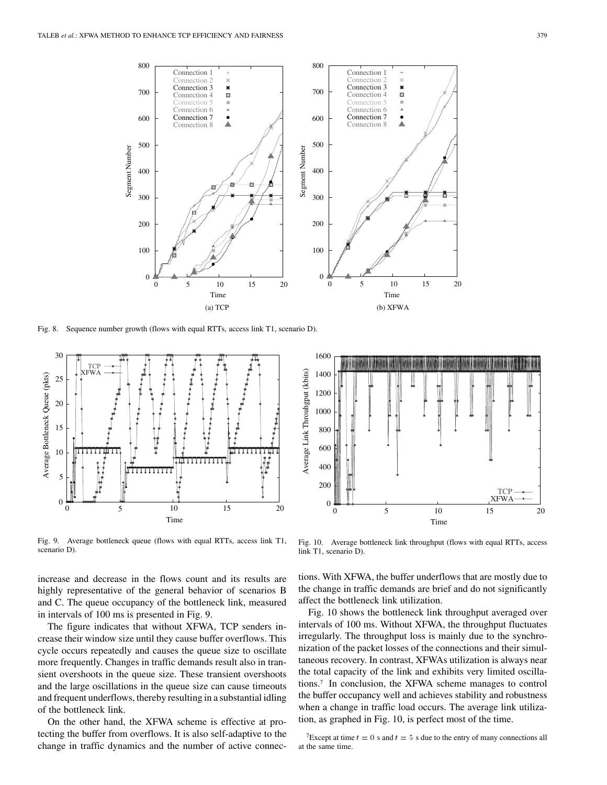

Fig. 8. Sequence number growth (flows with equal RTTs, access link T1, scenario D).



1600 Average Link Throuhgput (kbits) Average Link Throuhgput (kbits) 1400 1200 1000 800 600 400 200 **TCP** XFWA 0 0 5 10 15 20 Time

Fig. 9. Average bottleneck queue (flows with equal RTTs, access link T1, scenario D).

increase and decrease in the flows count and its results are highly representative of the general behavior of scenarios B and C. The queue occupancy of the bottleneck link, measured in intervals of 100 ms is presented in Fig. 9.

The figure indicates that without XFWA, TCP senders increase their window size until they cause buffer overflows. This cycle occurs repeatedly and causes the queue size to oscillate more frequently. Changes in traffic demands result also in transient overshoots in the queue size. These transient overshoots and the large oscillations in the queue size can cause timeouts and frequent underflows, thereby resulting in a substantial idling of the bottleneck link.

On the other hand, the XFWA scheme is effective at protecting the buffer from overflows. It is also self-adaptive to the change in traffic dynamics and the number of active connec-

Fig. 10. Average bottleneck link throughput (flows with equal RTTs, access link T1, scenario D).

tions. With XFWA, the buffer underflows that are mostly due to the change in traffic demands are brief and do not significantly affect the bottleneck link utilization.

Fig. 10 shows the bottleneck link throughput averaged over intervals of 100 ms. Without XFWA, the throughput fluctuates irregularly. The throughput loss is mainly due to the synchronization of the packet losses of the connections and their simultaneous recovery. In contrast, XFWAs utilization is always near the total capacity of the link and exhibits very limited oscillations.7 In conclusion, the XFWA scheme manages to control the buffer occupancy well and achieves stability and robustness when a change in traffic load occurs. The average link utilization, as graphed in Fig. 10, is perfect most of the time.

<sup>7</sup>Except at time  $t = 0$  s and  $t = 5$  s due to the entry of many connections all at the same time.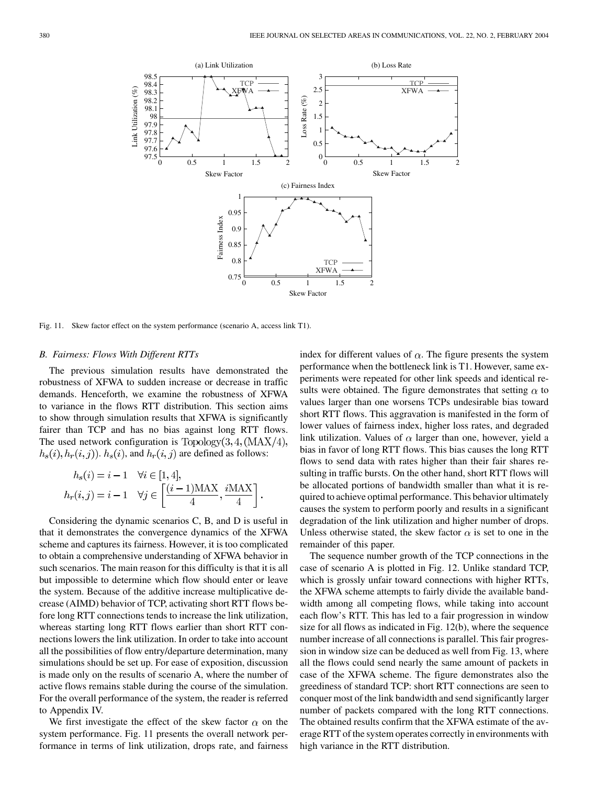

Fig. 11. Skew factor effect on the system performance (scenario A, access link T1).

## *B. Fairness: Flows With Different RTTs*

The previous simulation results have demonstrated the robustness of XFWA to sudden increase or decrease in traffic demands. Henceforth, we examine the robustness of XFWA to variance in the flows RTT distribution. This section aims to show through simulation results that XFWA is significantly fairer than TCP and has no bias against long RTT flows. The used network configuration is  $Topology(3,4,(MAX/4),$  $h_s(i), h_r(i,j)$ ).  $h_s(i)$ , and  $h_r(i,j)$  are defined as follows:

$$
h_s(i) = i - 1 \quad \forall i \in [1, 4],
$$
  

$$
h_r(i, j) = i - 1 \quad \forall j \in \left[\frac{(i - 1) \text{MAX}}{4}, \frac{i \text{MAX}}{4}\right].
$$

Considering the dynamic scenarios C, B, and D is useful in that it demonstrates the convergence dynamics of the XFWA scheme and captures its fairness. However, it is too complicated to obtain a comprehensive understanding of XFWA behavior in such scenarios. The main reason for this difficulty is that it is all but impossible to determine which flow should enter or leave the system. Because of the additive increase multiplicative decrease (AIMD) behavior of TCP, activating short RTT flows before long RTT connections tends to increase the link utilization, whereas starting long RTT flows earlier than short RTT connections lowers the link utilization. In order to take into account all the possibilities of flow entry/departure determination, many simulations should be set up. For ease of exposition, discussion is made only on the results of scenario A, where the number of active flows remains stable during the course of the simulation. For the overall performance of the system, the reader is referred to Appendix IV.

We first investigate the effect of the skew factor  $\alpha$  on the system performance. Fig. 11 presents the overall network performance in terms of link utilization, drops rate, and fairness index for different values of  $\alpha$ . The figure presents the system performance when the bottleneck link is T1. However, same experiments were repeated for other link speeds and identical results were obtained. The figure demonstrates that setting  $\alpha$  to values larger than one worsens TCPs undesirable bias toward short RTT flows. This aggravation is manifested in the form of lower values of fairness index, higher loss rates, and degraded link utilization. Values of  $\alpha$  larger than one, however, yield a bias in favor of long RTT flows. This bias causes the long RTT flows to send data with rates higher than their fair shares resulting in traffic bursts. On the other hand, short RTT flows will be allocated portions of bandwidth smaller than what it is required to achieve optimal performance. This behavior ultimately causes the system to perform poorly and results in a significant degradation of the link utilization and higher number of drops. Unless otherwise stated, the skew factor  $\alpha$  is set to one in the remainder of this paper.

The sequence number growth of the TCP connections in the case of scenario A is plotted in Fig. 12. Unlike standard TCP, which is grossly unfair toward connections with higher RTTs, the XFWA scheme attempts to fairly divide the available bandwidth among all competing flows, while taking into account each flow's RTT. This has led to a fair progression in window size for all flows as indicated in Fig. 12(b), where the sequence number increase of all connections is parallel. This fair progression in window size can be deduced as well from Fig. 13, where all the flows could send nearly the same amount of packets in case of the XFWA scheme. The figure demonstrates also the greediness of standard TCP: short RTT connections are seen to conquer most of the link bandwidth and send significantly larger number of packets compared with the long RTT connections. The obtained results confirm that the XFWA estimate of the average RTT of the system operates correctly in environments with high variance in the RTT distribution.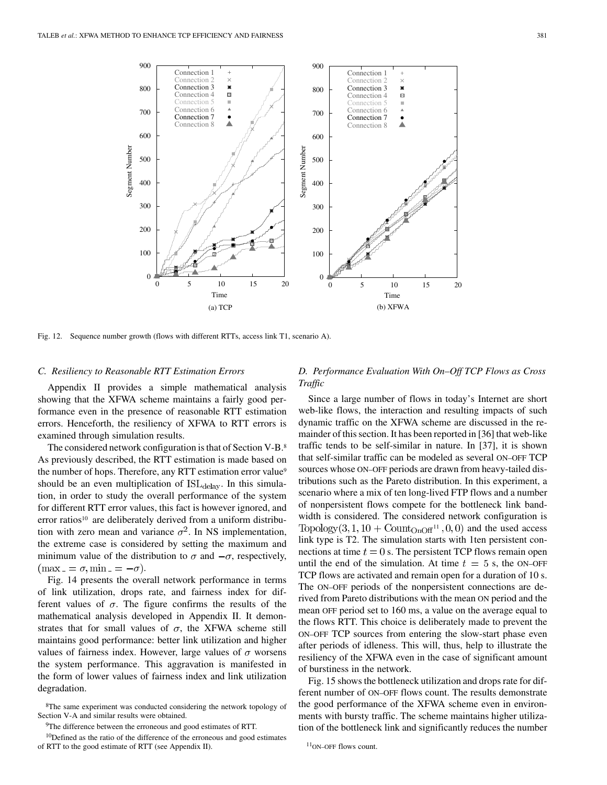

Fig. 12. Sequence number growth (flows with different RTTs, access link T1, scenario A).

# *C. Resiliency to Reasonable RTT Estimation Errors*

Appendix II provides a simple mathematical analysis showing that the XFWA scheme maintains a fairly good performance even in the presence of reasonable RTT estimation errors. Henceforth, the resiliency of XFWA to RTT errors is examined through simulation results.

The considered network configuration is that of Section V-B.8 As previously described, the RTT estimation is made based on the number of hops. Therefore, any RTT estimation error value<sup>9</sup> should be an even multiplication of  $ISL_{delay}$ . In this simulation, in order to study the overall performance of the system for different RTT error values, this fact is however ignored, and error ratios<sup>10</sup> are deliberately derived from a uniform distribution with zero mean and variance  $\sigma^2$ . In NS implementation, the extreme case is considered by setting the maximum and minimum value of the distribution to  $\sigma$  and  $-\sigma$ , respectively,  $(\text{max} = \sigma, \text{min} = -\sigma).$ 

Fig. 14 presents the overall network performance in terms of link utilization, drops rate, and fairness index for different values of  $\sigma$ . The figure confirms the results of the mathematical analysis developed in Appendix II. It demonstrates that for small values of  $\sigma$ , the XFWA scheme still maintains good performance: better link utilization and higher values of fairness index. However, large values of  $\sigma$  worsens the system performance. This aggravation is manifested in the form of lower values of fairness index and link utilization degradation.

# *D. Performance Evaluation With On–Off TCP Flows as Cross Traffic*

Since a large number of flows in today's Internet are short web-like flows, the interaction and resulting impacts of such dynamic traffic on the XFWA scheme are discussed in the remainder of this section. It has been reported in [[36\]](#page-16-0) that web-like traffic tends to be self-similar in nature. In [[37\]](#page-16-0), it is shown that self-similar traffic can be modeled as several ON–OFF TCP sources whose ON–OFF periods are drawn from heavy-tailed distributions such as the Pareto distribution. In this experiment, a scenario where a mix of ten long-lived FTP flows and a number of nonpersistent flows compete for the bottleneck link bandwidth is considered. The considered network configuration is Topology $(3, 1, 10 + \text{Count}_{\text{OnOff}}^{11}, 0, 0)$  and the used access link type is T2. The simulation starts with 1ten persistent connections at time  $t = 0$  s. The persistent TCP flows remain open until the end of the simulation. At time  $t = 5$  s, the ON–OFF TCP flows are activated and remain open for a duration of 10 s. The ON–OFF periods of the nonpersistent connections are derived from Pareto distributions with the mean ON period and the mean OFF period set to 160 ms, a value on the average equal to the flows RTT. This choice is deliberately made to prevent the ON–OFF TCP sources from entering the slow-start phase even after periods of idleness. This will, thus, help to illustrate the resiliency of the XFWA even in the case of significant amount of burstiness in the network.

Fig. 15 shows the bottleneck utilization and drops rate for different number of ON–OFF flows count. The results demonstrate the good performance of the XFWA scheme even in environments with bursty traffic. The scheme maintains higher utilization of the bottleneck link and significantly reduces the number

<sup>8</sup>The same experiment was conducted considering the network topology of Section V-A and similar results were obtained.

<sup>9</sup>The difference between the erroneous and good estimates of RTT.

<sup>10</sup>Defined as the ratio of the difference of the erroneous and good estimates of RTT to the good estimate of RTT (see Appendix II).

<sup>11</sup>ON–OFF flows count.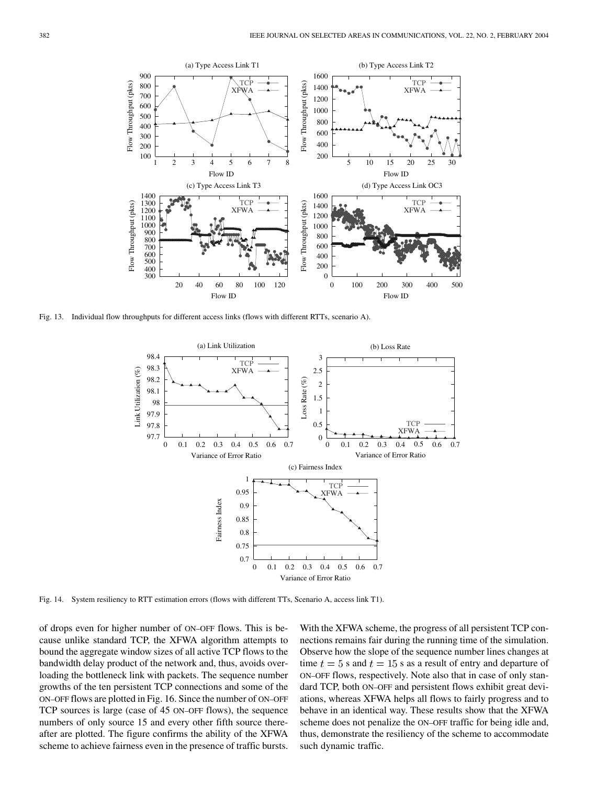

Fig. 13. Individual flow throughputs for different access links (flows with different RTTs, scenario A).



Fig. 14. System resiliency to RTT estimation errors (flows with different TTs, Scenario A, access link T1).

of drops even for higher number of ON–OFF flows. This is because unlike standard TCP, the XFWA algorithm attempts to bound the aggregate window sizes of all active TCP flows to the bandwidth delay product of the network and, thus, avoids overloading the bottleneck link with packets. The sequence number growths of the ten persistent TCP connections and some of the ON–OFF flows are plotted in Fig. 16. Since the number of ON–OFF TCP sources is large (case of 45 ON–OFF flows), the sequence numbers of only source 15 and every other fifth source thereafter are plotted. The figure confirms the ability of the XFWA scheme to achieve fairness even in the presence of traffic bursts.

With the XFWA scheme, the progress of all persistent TCP connections remains fair during the running time of the simulation. Observe how the slope of the sequence number lines changes at time  $t = 5$  s and  $t = 15$  s as a result of entry and departure of ON–OFF flows, respectively. Note also that in case of only standard TCP, both ON–OFF and persistent flows exhibit great deviations, whereas XFWA helps all flows to fairly progress and to behave in an identical way. These results show that the XFWA scheme does not penalize the ON–OFF traffic for being idle and, thus, demonstrate the resiliency of the scheme to accommodate such dynamic traffic.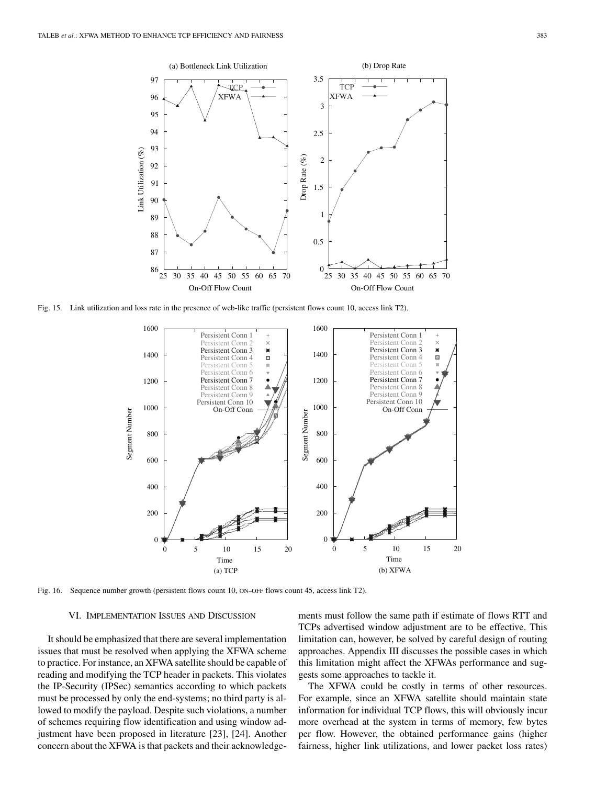

Fig. 15. Link utilization and loss rate in the presence of web-like traffic (persistent flows count 10, access link T2).



Fig. 16. Sequence number growth (persistent flows count 10, ON–OFF flows count 45, access link T2).

## VI. IMPLEMENTATION ISSUES AND DISCUSSION

It should be emphasized that there are several implementation issues that must be resolved when applying the XFWA scheme to practice. For instance, an XFWA satellite should be capable of reading and modifying the TCP header in packets. This violates the IP-Security (IPSec) semantics according to which packets must be processed by only the end-systems; no third party is allowed to modify the payload. Despite such violations, a number of schemes requiring flow identification and using window adjustment have been proposed in literature [[23\]](#page-16-0), [\[24](#page-16-0)]. Another concern about the XFWA is that packets and their acknowledgements must follow the same path if estimate of flows RTT and TCPs advertised window adjustment are to be effective. This limitation can, however, be solved by careful design of routing approaches. Appendix III discusses the possible cases in which this limitation might affect the XFWAs performance and suggests some approaches to tackle it.

The XFWA could be costly in terms of other resources. For example, since an XFWA satellite should maintain state information for individual TCP flows, this will obviously incur more overhead at the system in terms of memory, few bytes per flow. However, the obtained performance gains (higher fairness, higher link utilizations, and lower packet loss rates)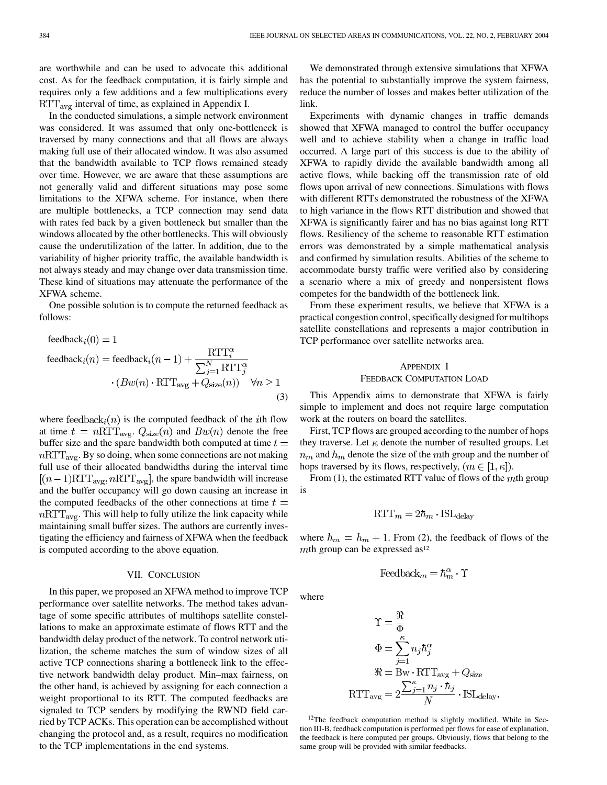are worthwhile and can be used to advocate this additional cost. As for the feedback computation, it is fairly simple and requires only a few additions and a few multiplications every  $RTT_{\text{avg}}$  interval of time, as explained in Appendix I.

In the conducted simulations, a simple network environment was considered. It was assumed that only one-bottleneck is traversed by many connections and that all flows are always making full use of their allocated window. It was also assumed that the bandwidth available to TCP flows remained steady over time. However, we are aware that these assumptions are not generally valid and different situations may pose some limitations to the XFWA scheme. For instance, when there are multiple bottlenecks, a TCP connection may send data with rates fed back by a given bottleneck but smaller than the windows allocated by the other bottlenecks. This will obviously cause the underutilization of the latter. In addition, due to the variability of higher priority traffic, the available bandwidth is not always steady and may change over data transmission time. These kind of situations may attenuate the performance of the XFWA scheme.

One possible solution is to compute the returned feedback as follows:

$$
\begin{aligned}\n\text{feedback}_{i}(0) &= 1 \\
\text{feedback}_{i}(n) &= \text{feedback}_{i}(n-1) + \frac{\text{RTT}_{i}^{\alpha}}{\sum_{j=1}^{N} \text{RTT}_{j}^{\alpha}} \\
&\cdot (Bw(n) \cdot \text{RTT}_{\text{avg}} + Q_{\text{size}}(n)) \quad \forall n \ge 1\n\end{aligned}
$$
\n
$$
(3)
$$

where  $\mathrm{feedback}_{i}(n)$  is the computed feedback of the *i*th flow at time  $t = nRTT_{avg}$ .  $Q_{size}(n)$  and  $Bw(n)$  denote the free buffer size and the spare bandwidth both computed at time  $t =$  $nRTT_{avg}$ . By so doing, when some connections are not making full use of their allocated bandwidths during the interval time  $[(n-1)RTT_{avg}, nRTT_{avg}]$ , the spare bandwidth will increase and the buffer occupancy will go down causing an increase in the computed feedbacks of the other connections at time  $t =$  $nRTT_{\text{avg}}$ . This will help to fully utilize the link capacity while maintaining small buffer sizes. The authors are currently investigating the efficiency and fairness of XFWA when the feedback is computed according to the above equation.

## VII. CONCLUSION

In this paper, we proposed an XFWA method to improve TCP performance over satellite networks. The method takes advantage of some specific attributes of multihops satellite constellations to make an approximate estimate of flows RTT and the bandwidth delay product of the network. To control network utilization, the scheme matches the sum of window sizes of all active TCP connections sharing a bottleneck link to the effective network bandwidth delay product. Min–max fairness, on the other hand, is achieved by assigning for each connection a weight proportional to its RTT. The computed feedbacks are signaled to TCP senders by modifying the RWND field carried by TCP ACKs. This operation can be accomplished without changing the protocol and, as a result, requires no modification to the TCP implementations in the end systems.

We demonstrated through extensive simulations that XFWA has the potential to substantially improve the system fairness, reduce the number of losses and makes better utilization of the link.

Experiments with dynamic changes in traffic demands showed that XFWA managed to control the buffer occupancy well and to achieve stability when a change in traffic load occurred. A large part of this success is due to the ability of XFWA to rapidly divide the available bandwidth among all active flows, while backing off the transmission rate of old flows upon arrival of new connections. Simulations with flows with different RTTs demonstrated the robustness of the XFWA to high variance in the flows RTT distribution and showed that XFWA is significantly fairer and has no bias against long RTT flows. Resiliency of the scheme to reasonable RTT estimation errors was demonstrated by a simple mathematical analysis and confirmed by simulation results. Abilities of the scheme to accommodate bursty traffic were verified also by considering a scenario where a mix of greedy and nonpersistent flows competes for the bandwidth of the bottleneck link.

From these experiment results, we believe that XFWA is a practical congestion control, specifically designed for multihops satellite constellations and represents a major contribution in TCP performance over satellite networks area.

## APPENDIX I

## FEEDBACK COMPUTATION LOAD

This Appendix aims to demonstrate that XFWA is fairly simple to implement and does not require large computation work at the routers on board the satellites.

First, TCP flows are grouped according to the number of hops they traverse. Let  $\kappa$  denote the number of resulted groups. Let  $n_m$  and  $h_m$  denote the size of the mth group and the number of hops traversed by its flows, respectively,  $(m \in [1, \kappa])$ .

From  $(1)$ , the estimated RTT value of flows of the  $m$ th group is

$$
RTT_m = 2\hbar_m \cdot ISL_{delay}
$$

where  $\hbar_m = h_m + 1$ . From (2), the feedback of flows of the  $m$ th group can be expressed as<sup>12</sup>

$$
\text{Feedback}_m = \hbar_m^{\alpha} \cdot \Upsilon
$$

where

$$
\begin{aligned}\n\Upsilon &= \frac{\Re}{\Phi} \\
\Phi &= \sum_{j=1}^{\kappa} n_j \hbar_j^{\alpha} \\
\Re &= \text{Bw} \cdot \text{RTT}_{\text{avg}} + Q_{\text{size}} \\
\text{RTT}_{\text{avg}} &= 2 \frac{\sum_{j=1}^{\kappa} n_j \cdot \hbar_j}{N} \cdot \text{ISL}_{\text{delay}}.\n\end{aligned}
$$

<sup>12</sup>The feedback computation method is slightly modified. While in Section III-B, feedback computation is performed per flows for ease of explanation, the feedback is here computed per groups. Obviously, flows that belong to the same group will be provided with similar feedbacks.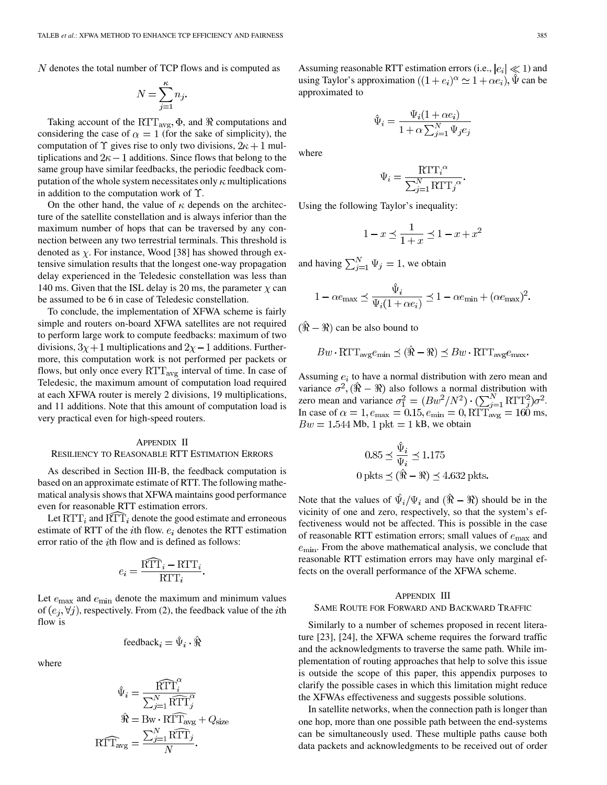$N$  denotes the total number of TCP flows and is computed as

$$
N = \sum_{j=1}^{\kappa} n_j
$$

Taking account of the  $\text{RTT}_{\text{avg}}, \Phi$ , and  $\Re$  computations and considering the case of  $\alpha = 1$  (for the sake of simplicity), the computation of  $\Upsilon$  gives rise to only two divisions,  $2\kappa + 1$  multiplications and  $2\kappa - 1$  additions. Since flows that belong to the same group have similar feedbacks, the periodic feedback computation of the whole system necessitates only  $\kappa$  multiplications in addition to the computation work of  $\Upsilon$ .

On the other hand, the value of  $\kappa$  depends on the architecture of the satellite constellation and is always inferior than the maximum number of hops that can be traversed by any connection between any two terrestrial terminals. This threshold is denoted as  $\chi$ . For instance, Wood [\[38](#page-16-0)] has showed through extensive simulation results that the longest one-way propagation delay experienced in the Teledesic constellation was less than 140 ms. Given that the ISL delay is 20 ms, the parameter  $\chi$  can be assumed to be 6 in case of Teledesic constellation.

To conclude, the implementation of XFWA scheme is fairly simple and routers on-board XFWA satellites are not required to perform large work to compute feedbacks: maximum of two divisions,  $3\chi + 1$  multiplications and  $2\chi - 1$  additions. Furthermore, this computation work is not performed per packets or flows, but only once every  $\text{RTT}_{\text{avg}}$  interval of time. In case of Teledesic, the maximum amount of computation load required at each XFWA router is merely 2 divisions, 19 multiplications, and 11 additions. Note that this amount of computation load is very practical even for high-speed routers.

# APPENDIX II RESILIENCY TO REASONABLE RTT ESTIMATION ERRORS

As described in Section III-B, the feedback computation is based on an approximate estimate of RTT. The following mathematical analysis shows that XFWA maintains good performance even for reasonable RTT estimation errors.

Let  $RTT_i$  and  $RTT_i$  denote the good estimate and erroneous estimate of RTT of the *i*th flow.  $e_i$  denotes the RTT estimation error ratio of the  $i$ th flow and is defined as follows:

$$
e_i = \frac{\widehat{\text{RTT}}_i - \text{RTT}_i}{\text{RTT}_i}
$$

Let  $e_{\text{max}}$  and  $e_{\text{min}}$  denote the maximum and minimum values of  $(e_i, \forall j)$ , respectively. From (2), the feedback value of the *i*th flow is

$$
feedback_i = \Psi_i \cdot \Re
$$

where

$$
\hat{\Psi}_i = \frac{\widehat{\text{RTT}}_i^{\alpha}}{\sum_{j=1}^{N} \widehat{\text{RTT}}_j^{\alpha}}
$$

$$
\hat{\Re} = \text{Bw} \cdot \widehat{\text{RTT}}_{\text{avg}} + Q_{\text{size}}
$$

$$
\widehat{\text{RTT}}_{\text{avg}} = \frac{\sum_{j=1}^{N} \widehat{\text{RTT}}_j}{N}.
$$

Assuming reasonable RTT estimation errors (i.e.,  $|e_i| \ll 1$ ) and using Taylor's approximation  $((1 + e_i)^{\alpha} \approx 1 + \alpha e_i)$ ,  $\hat{\Psi}$  can be approximated to

$$
\hat{\Psi}_i = \frac{\Psi_i (1 + \alpha e_i)}{1 + \alpha \sum_{j=1}^N \Psi_j e_j}
$$

where

$$
\Psi_i = \frac{\text{RTT}_i^{\alpha}}{\sum_{j=1}^N \text{RTT}_j^{\alpha}}.
$$

Using the following Taylor's inequality:

$$
1 - x \le \frac{1}{1 + x} \le 1 - x + x^2
$$

and having  $\sum_{i=1}^{N} \Psi_i = 1$ , we obtain

$$
1 - \alpha e_{\max} \preceq \frac{\hat{\Psi}_i}{\Psi_i (1 + \alpha e_i)} \preceq 1 - \alpha e_{\min} + (\alpha e_{\max})^2.
$$

 $(\hat{\mathcal{R}} - \mathcal{R})$  can be also bound to

$$
Bw \cdot \text{RTT}_{\text{avg}} e_{\text{min}} \preceq (\hat{\mathfrak{R}} - \mathfrak{R}) \preceq Bw \cdot \text{RTT}_{\text{avg}} e_{\text{max}}
$$

Assuming  $e_i$  to have a normal distribution with zero mean and variance  $\sigma^2$ ,  $(\hat{\mathcal{R}} - \mathcal{R})$  also follows a normal distribution with zero mean and variance  $\sigma_1^2 = (Bw^2/N^2) \cdot (\sum_{j=1}^N \text{RTT}_j^2) \sigma^2$ . In case of  $\alpha=1,e_{\rm max}=0.15,e_{\rm min}=0,{\rm RTT_{avg}}=160~{\rm ms},$  $Bw = 1.544$  Mb, 1 pkt = 1 kB, we obtain

$$
0.85 \le \frac{\tilde{\Psi}_i}{\Psi_i} \le 1.175
$$
  
0 plsts  $\le (\hat{\Re} - \Re) \le 4.632$  plsts

Note that the values of  $\hat{\Psi}_i/\Psi_i$  and  $(\hat{\mathcal{R}} - \mathcal{R})$  should be in the vicinity of one and zero, respectively, so that the system's effectiveness would not be affected. This is possible in the case of reasonable RTT estimation errors; small values of  $e_{\text{max}}$  and  $e_{\text{min}}$ . From the above mathematical analysis, we conclude that reasonable RTT estimation errors may have only marginal effects on the overall performance of the XFWA scheme.

#### APPENDIX III

## SAME ROUTE FOR FORWARD AND BACKWARD TRAFFIC

Similarly to a number of schemes proposed in recent literature [[23\]](#page-16-0), [\[24](#page-16-0)], the XFWA scheme requires the forward traffic and the acknowledgments to traverse the same path. While implementation of routing approaches that help to solve this issue is outside the scope of this paper, this appendix purposes to clarify the possible cases in which this limitation might reduce the XFWAs effectiveness and suggests possible solutions.

In satellite networks, when the connection path is longer than one hop, more than one possible path between the end-systems can be simultaneously used. These multiple paths cause both data packets and acknowledgments to be received out of order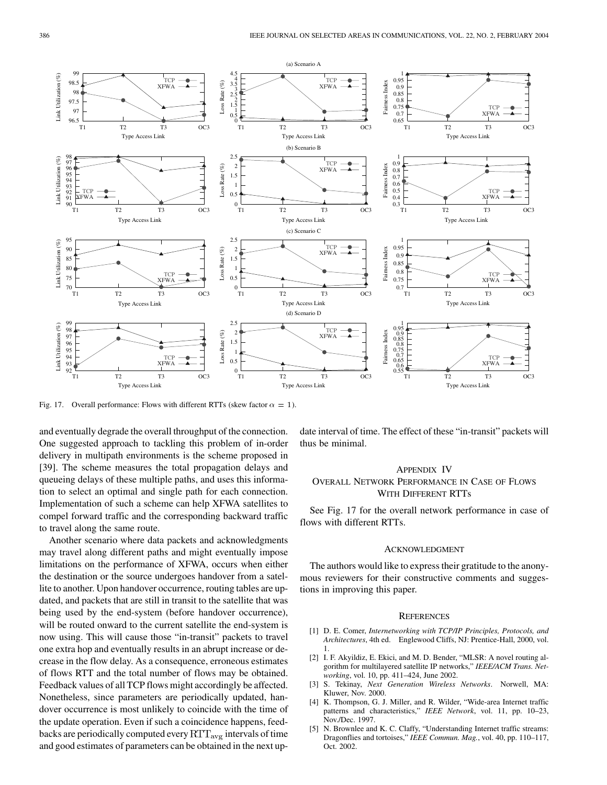<span id="page-15-0"></span>

Fig. 17. Overall performance: Flows with different RTTs (skew factor  $\alpha = 1$ ).

and eventually degrade the overall throughput of the connection. One suggested approach to tackling this problem of in-order delivery in multipath environments is the scheme proposed in [[39\]](#page-16-0). The scheme measures the total propagation delays and queueing delays of these multiple paths, and uses this information to select an optimal and single path for each connection. Implementation of such a scheme can help XFWA satellites to compel forward traffic and the corresponding backward traffic to travel along the same route.

Another scenario where data packets and acknowledgments may travel along different paths and might eventually impose limitations on the performance of XFWA, occurs when either the destination or the source undergoes handover from a satellite to another. Upon handover occurrence, routing tables are updated, and packets that are still in transit to the satellite that was being used by the end-system (before handover occurrence), will be routed onward to the current satellite the end-system is now using. This will cause those "in-transit" packets to travel one extra hop and eventually results in an abrupt increase or decrease in the flow delay. As a consequence, erroneous estimates of flows RTT and the total number of flows may be obtained. Feedback values of all TCP flows might accordingly be affected. Nonetheless, since parameters are periodically updated, handover occurrence is most unlikely to coincide with the time of the update operation. Even if such a coincidence happens, feedbacks are periodically computed every  $RTT_{avg}$  intervals of time and good estimates of parameters can be obtained in the next update interval of time. The effect of these "in-transit" packets will thus be minimal.

# APPENDIX IV OVERALL NETWORK PERFORMANCE IN CASE OF FLOWS WITH DIFFERENT RTTs

See Fig. 17 for the overall network performance in case of flows with different RTTs.

#### ACKNOWLEDGMENT

The authors would like to express their gratitude to the anonymous reviewers for their constructive comments and suggestions in improving this paper.

## **REFERENCES**

- [1] D. E. Comer, *Internetworking with TCP/IP Principles, Protocols, and Architectures*, 4th ed. Englewood Cliffs, NJ: Prentice-Hall, 2000, vol. 1.
- [2] I. F. Akyildiz, E. Ekici, and M. D. Bender, "MLSR: A novel routing algorithm for multilayered satellite IP networks," *IEEE/ACM Trans. Networking*, vol. 10, pp. 411–424, June 2002.
- [3] S. Tekinay, *Next Generation Wireless Networks*. Norwell, MA: Kluwer, Nov. 2000.
- [4] K. Thompson, G. J. Miller, and R. Wilder, "Wide-area Internet traffic patterns and characteristics," *IEEE Network*, vol. 11, pp. 10–23, Nov./Dec. 1997.
- [5] N. Brownlee and K. C. Claffy, "Understanding Internet traffic streams: Dragonflies and tortoises," *IEEE Commun. Mag.*, vol. 40, pp. 110–117, Oct. 2002.